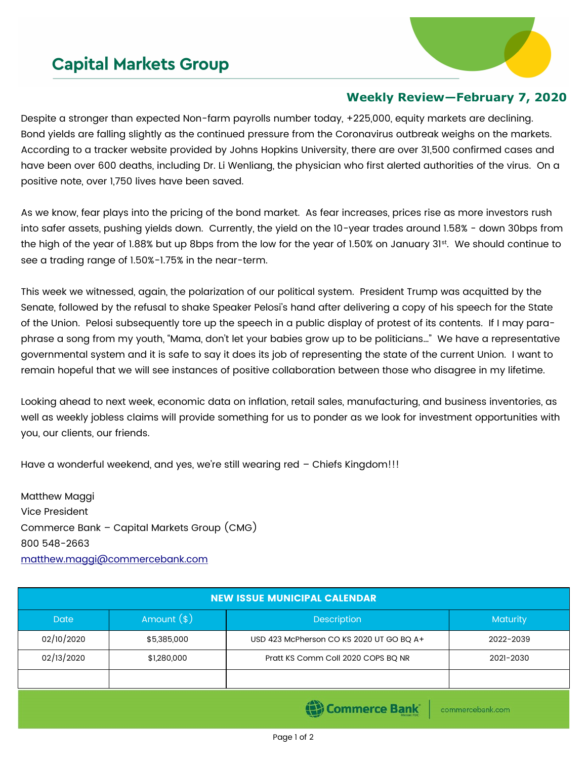## **Capital Markets Group**



## **Weekly Review—February 7, 2020**

Despite a stronger than expected Non-farm payrolls number today, +225,000, equity markets are declining. Bond yields are falling slightly as the continued pressure from the Coronavirus outbreak weighs on the markets. According to a tracker website provided by Johns Hopkins University, there are over 31,500 confirmed cases and have been over 600 deaths, including Dr. Li Wenliang, the physician who first alerted authorities of the virus. On a positive note, over 1,750 lives have been saved.

As we know, fear plays into the pricing of the bond market. As fear increases, prices rise as more investors rush into safer assets, pushing yields down. Currently, the yield on the 10-year trades around 1.58% - down 30bps from the high of the year of 1.88% but up 8bps from the low for the year of 1.50% on January 31st. We should continue to see a trading range of 1.50%-1.75% in the near-term.

This week we witnessed, again, the polarization of our political system. President Trump was acquitted by the Senate, followed by the refusal to shake Speaker Pelosi's hand after delivering a copy of his speech for the State of the Union. Pelosi subsequently tore up the speech in a public display of protest of its contents. If I may paraphrase a song from my youth, "Mama, don't let your babies grow up to be politicians…" We have a representative governmental system and it is safe to say it does its job of representing the state of the current Union. I want to remain hopeful that we will see instances of positive collaboration between those who disagree in my lifetime.

Looking ahead to next week, economic data on inflation, retail sales, manufacturing, and business inventories, as well as weekly jobless claims will provide something for us to ponder as we look for investment opportunities with you, our clients, our friends.

Have a wonderful weekend, and yes, we're still wearing red – Chiefs Kingdom!!!

Matthew Maggi Vice President Commerce Bank – Capital Markets Group (CMG) 800 548-2663 [matthew.maggi@commercebank.com](mailto:matthew.maggi@commercebank.com)

| <b>NEW ISSUE MUNICIPAL CALENDAR</b> |              |                                            |           |  |  |
|-------------------------------------|--------------|--------------------------------------------|-----------|--|--|
| <b>Date</b>                         | Amount $(*)$ | <b>Description</b>                         | Maturity  |  |  |
| 02/10/2020                          | \$5,385,000  | USD 423 McPherson CO KS 2020 UT GO BQ A+   | 2022-2039 |  |  |
| 02/13/2020                          | \$1,280,000  | Pratt KS Comm Coll 2020 COPS BQ NR         | 2021-2030 |  |  |
|                                     |              |                                            |           |  |  |
|                                     |              | <b>Contract Contract Contract Contract</b> |           |  |  |

**(E)** Commerce Bank

commercebank.com